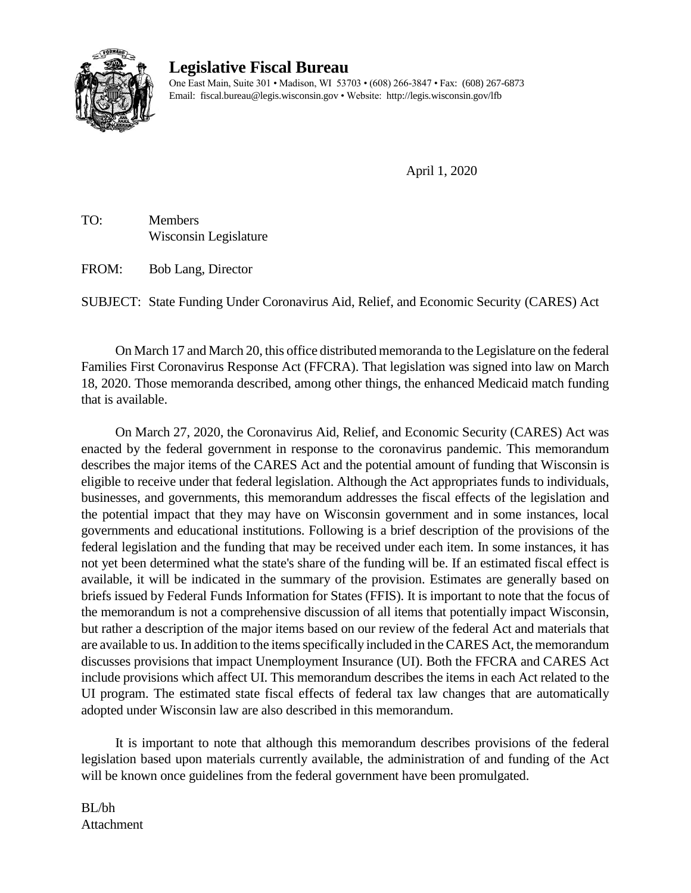

## **Legislative Fiscal Bureau**

One East Main, Suite 301 • Madison, WI 53703 • (608) 266-3847 • Fax: (608) 267-6873 Email: fiscal.bureau@legis.wisconsin.gov • Website:<http://legis.wisconsin.gov/lfb>

April 1, 2020

TO: Members Wisconsin Legislature

FROM: Bob Lang, Director

SUBJECT: State Funding Under Coronavirus Aid, Relief, and Economic Security (CARES) Act

On March 17 and March 20, this office distributed memoranda to the Legislature on the federal Families First Coronavirus Response Act (FFCRA). That legislation was signed into law on March 18, 2020. Those memoranda described, among other things, the enhanced Medicaid match funding that is available.

On March 27, 2020, the Coronavirus Aid, Relief, and Economic Security (CARES) Act was enacted by the federal government in response to the coronavirus pandemic. This memorandum describes the major items of the CARES Act and the potential amount of funding that Wisconsin is eligible to receive under that federal legislation. Although the Act appropriates funds to individuals, businesses, and governments, this memorandum addresses the fiscal effects of the legislation and the potential impact that they may have on Wisconsin government and in some instances, local governments and educational institutions. Following is a brief description of the provisions of the federal legislation and the funding that may be received under each item. In some instances, it has not yet been determined what the state's share of the funding will be. If an estimated fiscal effect is available, it will be indicated in the summary of the provision. Estimates are generally based on briefs issued by Federal Funds Information for States (FFIS). It is important to note that the focus of the memorandum is not a comprehensive discussion of all items that potentially impact Wisconsin, but rather a description of the major items based on our review of the federal Act and materials that are available to us. In addition to the items specifically included in the CARES Act, the memorandum discusses provisions that impact Unemployment Insurance (UI). Both the FFCRA and CARES Act include provisions which affect UI. This memorandum describes the items in each Act related to the UI program. The estimated state fiscal effects of federal tax law changes that are automatically adopted under Wisconsin law are also described in this memorandum.

It is important to note that although this memorandum describes provisions of the federal legislation based upon materials currently available, the administration of and funding of the Act will be known once guidelines from the federal government have been promulgated.

BL/bh Attachment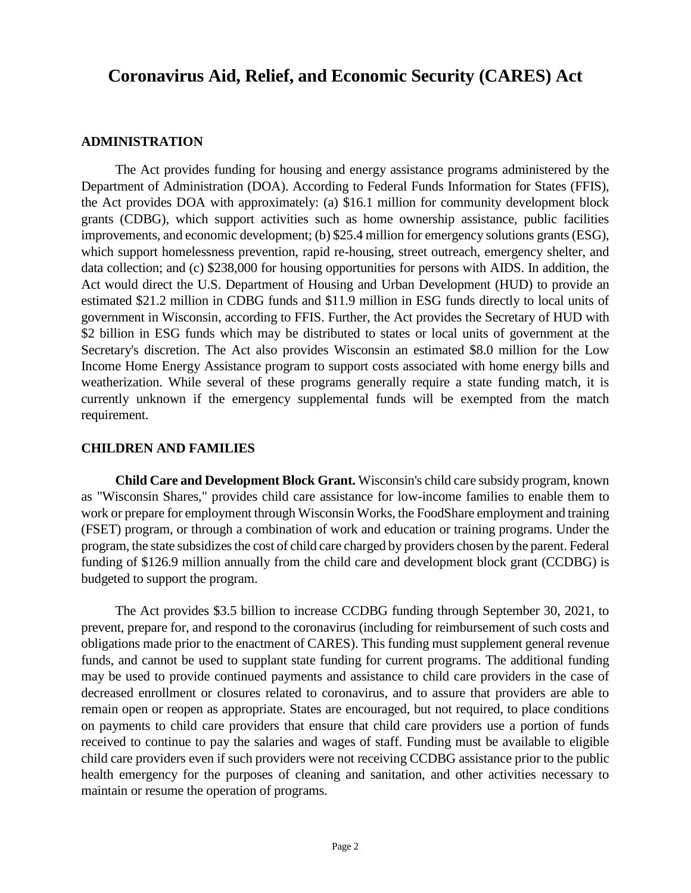# **Coronavirus Aid, Relief, and Economic Security (CARES) Act**

#### **ADMINISTRATION**

The Act provides funding for housing and energy assistance programs administered by the Department of Administration (DOA). According to Federal Funds Information for States (FFIS), the Act provides DOA with approximately: (a) \$16.1 million for community development block grants (CDBG), which support activities such as home ownership assistance, public facilities improvements, and economic development; (b) \$25.4 million for emergency solutions grants (ESG), which support homelessness prevention, rapid re-housing, street outreach, emergency shelter, and data collection; and (c) \$238,000 for housing opportunities for persons with AIDS. In addition, the Act would direct the U.S. Department of Housing and Urban Development (HUD) to provide an estimated \$21.2 million in CDBG funds and \$11.9 million in ESG funds directly to local units of government in Wisconsin, according to FFIS. Further, the Act provides the Secretary of HUD with \$2 billion in ESG funds which may be distributed to states or local units of government at the Secretary's discretion. The Act also provides Wisconsin an estimated \$8.0 million for the Low Income Home Energy Assistance program to support costs associated with home energy bills and weatherization. While several of these programs generally require a state funding match, it is currently unknown if the emergency supplemental funds will be exempted from the match requirement.

#### **CHILDREN AND FAMILIES**

**Child Care and Development Block Grant.** Wisconsin's child care subsidy program, known as "Wisconsin Shares," provides child care assistance for low-income families to enable them to work or prepare for employment through Wisconsin Works, the FoodShare employment and training (FSET) program, or through a combination of work and education or training programs. Under the program, the state subsidizes the cost of child care charged by providers chosen by the parent. Federal funding of \$126.9 million annually from the child care and development block grant (CCDBG) is budgeted to support the program.

The Act provides \$3.5 billion to increase CCDBG funding through September 30, 2021, to prevent, prepare for, and respond to the coronavirus (including for reimbursement of such costs and obligations made prior to the enactment of CARES). This funding must supplement general revenue funds, and cannot be used to supplant state funding for current programs. The additional funding may be used to provide continued payments and assistance to child care providers in the case of decreased enrollment or closures related to coronavirus, and to assure that providers are able to remain open or reopen as appropriate. States are encouraged, but not required, to place conditions on payments to child care providers that ensure that child care providers use a portion of funds received to continue to pay the salaries and wages of staff. Funding must be available to eligible child care providers even if such providers were not receiving CCDBG assistance prior to the public health emergency for the purposes of cleaning and sanitation, and other activities necessary to maintain or resume the operation of programs.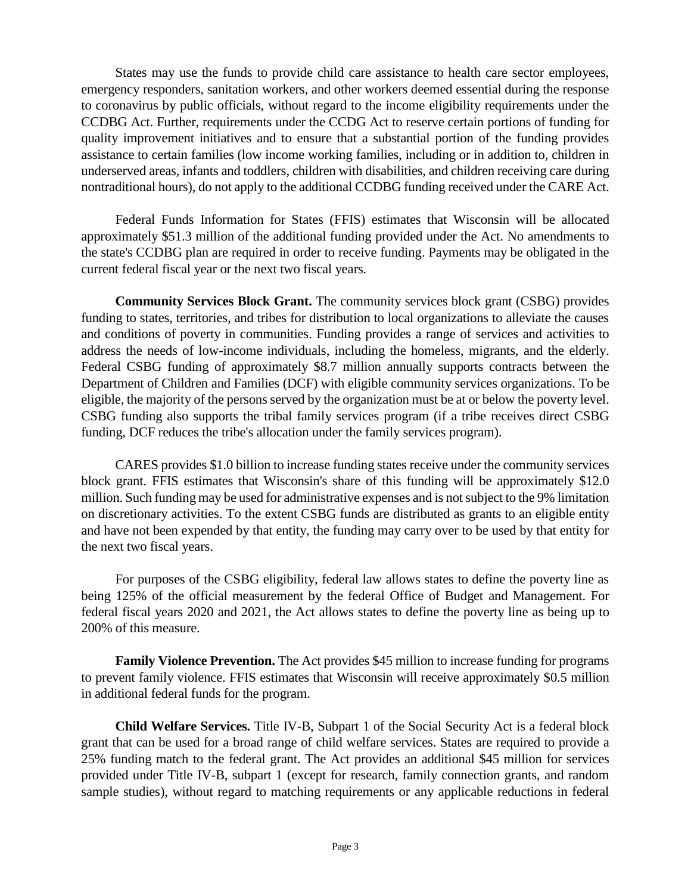States may use the funds to provide child care assistance to health care sector employees, emergency responders, sanitation workers, and other workers deemed essential during the response to coronavirus by public officials, without regard to the income eligibility requirements under the CCDBG Act. Further, requirements under the CCDG Act to reserve certain portions of funding for quality improvement initiatives and to ensure that a substantial portion of the funding provides assistance to certain families (low income working families, including or in addition to, children in underserved areas, infants and toddlers, children with disabilities, and children receiving care during nontraditional hours), do not apply to the additional CCDBG funding received under the CARE Act.

Federal Funds Information for States (FFIS) estimates that Wisconsin will be allocated approximately \$51.3 million of the additional funding provided under the Act. No amendments to the state's CCDBG plan are required in order to receive funding. Payments may be obligated in the current federal fiscal year or the next two fiscal years.

**Community Services Block Grant.** The community services block grant (CSBG) provides funding to states, territories, and tribes for distribution to local organizations to alleviate the causes and conditions of poverty in communities. Funding provides a range of services and activities to address the needs of low-income individuals, including the homeless, migrants, and the elderly. Federal CSBG funding of approximately \$8.7 million annually supports contracts between the Department of Children and Families (DCF) with eligible community services organizations. To be eligible, the majority of the persons served by the organization must be at or below the poverty level. CSBG funding also supports the tribal family services program (if a tribe receives direct CSBG funding, DCF reduces the tribe's allocation under the family services program).

CARES provides \$1.0 billion to increase funding states receive under the community services block grant. FFIS estimates that Wisconsin's share of this funding will be approximately \$12.0 million. Such funding may be used for administrative expenses and is not subject to the 9% limitation on discretionary activities. To the extent CSBG funds are distributed as grants to an eligible entity and have not been expended by that entity, the funding may carry over to be used by that entity for the next two fiscal years.

For purposes of the CSBG eligibility, federal law allows states to define the poverty line as being 125% of the official measurement by the federal Office of Budget and Management. For federal fiscal years 2020 and 2021, the Act allows states to define the poverty line as being up to 200% of this measure.

**Family Violence Prevention.** The Act provides \$45 million to increase funding for programs to prevent family violence. FFIS estimates that Wisconsin will receive approximately \$0.5 million in additional federal funds for the program.

**Child Welfare Services.** Title IV-B, Subpart 1 of the Social Security Act is a federal block grant that can be used for a broad range of child welfare services. States are required to provide a 25% funding match to the federal grant. The Act provides an additional \$45 million for services provided under Title IV-B, subpart 1 (except for research, family connection grants, and random sample studies), without regard to matching requirements or any applicable reductions in federal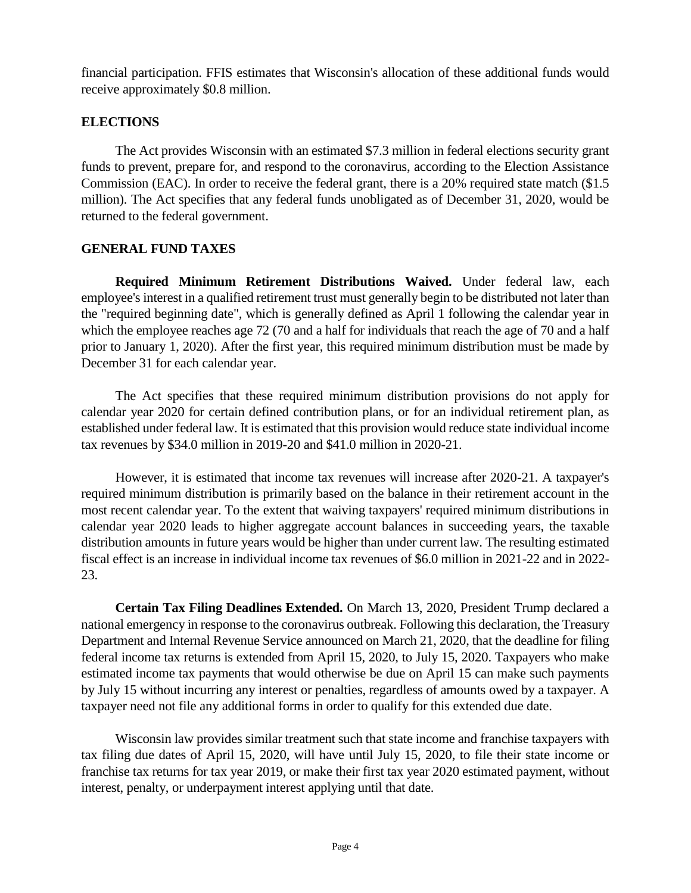financial participation. FFIS estimates that Wisconsin's allocation of these additional funds would receive approximately \$0.8 million.

## **ELECTIONS**

The Act provides Wisconsin with an estimated \$7.3 million in federal elections security grant funds to prevent, prepare for, and respond to the coronavirus, according to the Election Assistance Commission (EAC). In order to receive the federal grant, there is a 20% required state match (\$1.5 million). The Act specifies that any federal funds unobligated as of December 31, 2020, would be returned to the federal government.

## **GENERAL FUND TAXES**

**Required Minimum Retirement Distributions Waived.** Under federal law, each employee's interest in a qualified retirement trust must generally begin to be distributed not later than the "required beginning date", which is generally defined as April 1 following the calendar year in which the employee reaches age 72 (70 and a half for individuals that reach the age of 70 and a half prior to January 1, 2020). After the first year, this required minimum distribution must be made by December 31 for each calendar year.

The Act specifies that these required minimum distribution provisions do not apply for calendar year 2020 for certain defined contribution plans, or for an individual retirement plan, as established under federal law. It is estimated that this provision would reduce state individual income tax revenues by \$34.0 million in 2019-20 and \$41.0 million in 2020-21.

However, it is estimated that income tax revenues will increase after 2020-21. A taxpayer's required minimum distribution is primarily based on the balance in their retirement account in the most recent calendar year. To the extent that waiving taxpayers' required minimum distributions in calendar year 2020 leads to higher aggregate account balances in succeeding years, the taxable distribution amounts in future years would be higher than under current law. The resulting estimated fiscal effect is an increase in individual income tax revenues of \$6.0 million in 2021-22 and in 2022- 23.

**Certain Tax Filing Deadlines Extended.** On March 13, 2020, President Trump declared a national emergency in response to the coronavirus outbreak. Following this declaration, the Treasury Department and Internal Revenue Service announced on March 21, 2020, that the deadline for filing federal income tax returns is extended from April 15, 2020, to July 15, 2020. Taxpayers who make estimated income tax payments that would otherwise be due on April 15 can make such payments by July 15 without incurring any interest or penalties, regardless of amounts owed by a taxpayer. A taxpayer need not file any additional forms in order to qualify for this extended due date.

Wisconsin law provides similar treatment such that state income and franchise taxpayers with tax filing due dates of April 15, 2020, will have until July 15, 2020, to file their state income or franchise tax returns for tax year 2019, or make their first tax year 2020 estimated payment, without interest, penalty, or underpayment interest applying until that date.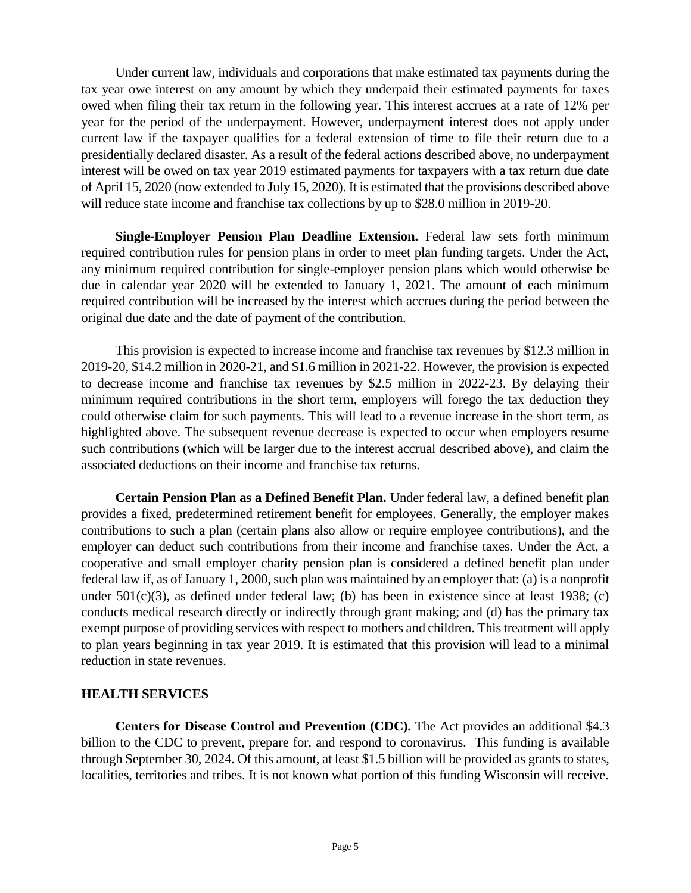Under current law, individuals and corporations that make estimated tax payments during the tax year owe interest on any amount by which they underpaid their estimated payments for taxes owed when filing their tax return in the following year. This interest accrues at a rate of 12% per year for the period of the underpayment. However, underpayment interest does not apply under current law if the taxpayer qualifies for a federal extension of time to file their return due to a presidentially declared disaster. As a result of the federal actions described above, no underpayment interest will be owed on tax year 2019 estimated payments for taxpayers with a tax return due date of April 15, 2020 (now extended to July 15, 2020). It is estimated that the provisions described above will reduce state income and franchise tax collections by up to \$28.0 million in 2019-20.

**Single-Employer Pension Plan Deadline Extension.** Federal law sets forth minimum required contribution rules for pension plans in order to meet plan funding targets. Under the Act, any minimum required contribution for single-employer pension plans which would otherwise be due in calendar year 2020 will be extended to January 1, 2021. The amount of each minimum required contribution will be increased by the interest which accrues during the period between the original due date and the date of payment of the contribution.

This provision is expected to increase income and franchise tax revenues by \$12.3 million in 2019-20, \$14.2 million in 2020-21, and \$1.6 million in 2021-22. However, the provision is expected to decrease income and franchise tax revenues by \$2.5 million in 2022-23. By delaying their minimum required contributions in the short term, employers will forego the tax deduction they could otherwise claim for such payments. This will lead to a revenue increase in the short term, as highlighted above. The subsequent revenue decrease is expected to occur when employers resume such contributions (which will be larger due to the interest accrual described above), and claim the associated deductions on their income and franchise tax returns.

**Certain Pension Plan as a Defined Benefit Plan.** Under federal law, a defined benefit plan provides a fixed, predetermined retirement benefit for employees. Generally, the employer makes contributions to such a plan (certain plans also allow or require employee contributions), and the employer can deduct such contributions from their income and franchise taxes. Under the Act, a cooperative and small employer charity pension plan is considered a defined benefit plan under federal law if, as of January 1, 2000, such plan was maintained by an employer that: (a) is a nonprofit under  $501(c)(3)$ , as defined under federal law; (b) has been in existence since at least 1938; (c) conducts medical research directly or indirectly through grant making; and (d) has the primary tax exempt purpose of providing services with respect to mothers and children. This treatment will apply to plan years beginning in tax year 2019. It is estimated that this provision will lead to a minimal reduction in state revenues.

## **HEALTH SERVICES**

**Centers for Disease Control and Prevention (CDC).** The Act provides an additional \$4.3 billion to the CDC to prevent, prepare for, and respond to coronavirus. This funding is available through September 30, 2024. Of this amount, at least \$1.5 billion will be provided as grants to states, localities, territories and tribes. It is not known what portion of this funding Wisconsin will receive.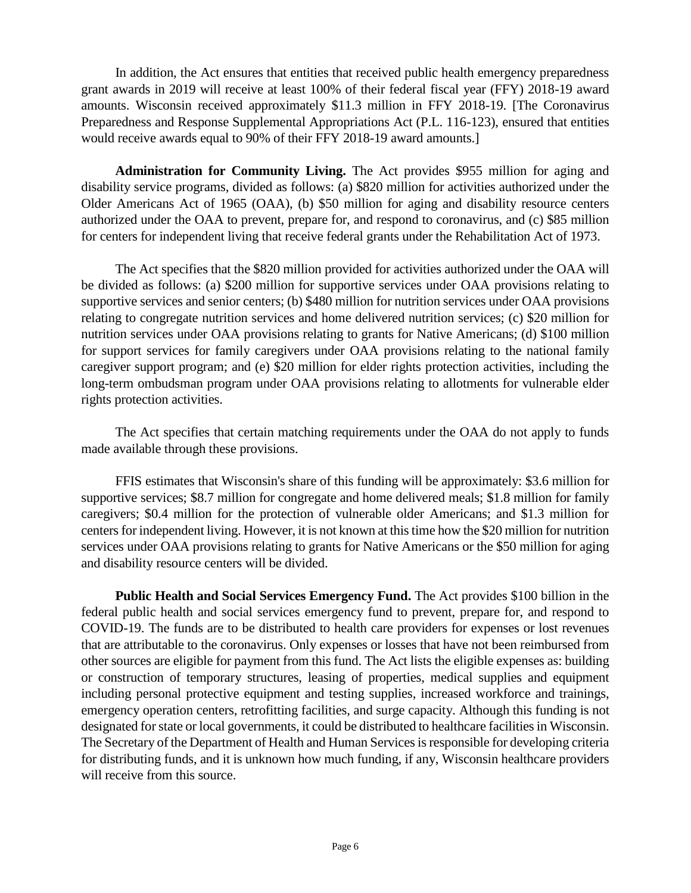In addition, the Act ensures that entities that received public health emergency preparedness grant awards in 2019 will receive at least 100% of their federal fiscal year (FFY) 2018-19 award amounts. Wisconsin received approximately \$11.3 million in FFY 2018-19. [The Coronavirus Preparedness and Response Supplemental Appropriations Act (P.L. 116-123), ensured that entities would receive awards equal to 90% of their FFY 2018-19 award amounts.]

**Administration for Community Living.** The Act provides \$955 million for aging and disability service programs, divided as follows: (a) \$820 million for activities authorized under the Older Americans Act of 1965 (OAA), (b) \$50 million for aging and disability resource centers authorized under the OAA to prevent, prepare for, and respond to coronavirus, and (c) \$85 million for centers for independent living that receive federal grants under the Rehabilitation Act of 1973.

The Act specifies that the \$820 million provided for activities authorized under the OAA will be divided as follows: (a) \$200 million for supportive services under OAA provisions relating to supportive services and senior centers; (b) \$480 million for nutrition services under OAA provisions relating to congregate nutrition services and home delivered nutrition services; (c) \$20 million for nutrition services under OAA provisions relating to grants for Native Americans; (d) \$100 million for support services for family caregivers under OAA provisions relating to the national family caregiver support program; and (e) \$20 million for elder rights protection activities, including the long-term ombudsman program under OAA provisions relating to allotments for vulnerable elder rights protection activities.

The Act specifies that certain matching requirements under the OAA do not apply to funds made available through these provisions.

FFIS estimates that Wisconsin's share of this funding will be approximately: \$3.6 million for supportive services; \$8.7 million for congregate and home delivered meals; \$1.8 million for family caregivers; \$0.4 million for the protection of vulnerable older Americans; and \$1.3 million for centers for independent living. However, it is not known at this time how the \$20 million for nutrition services under OAA provisions relating to grants for Native Americans or the \$50 million for aging and disability resource centers will be divided.

**Public Health and Social Services Emergency Fund.** The Act provides \$100 billion in the federal public health and social services emergency fund to prevent, prepare for, and respond to COVID-19. The funds are to be distributed to health care providers for expenses or lost revenues that are attributable to the coronavirus. Only expenses or losses that have not been reimbursed from other sources are eligible for payment from this fund. The Act lists the eligible expenses as: building or construction of temporary structures, leasing of properties, medical supplies and equipment including personal protective equipment and testing supplies, increased workforce and trainings, emergency operation centers, retrofitting facilities, and surge capacity. Although this funding is not designated for state or local governments, it could be distributed to healthcare facilities in Wisconsin. The Secretary of the Department of Health and Human Services is responsible for developing criteria for distributing funds, and it is unknown how much funding, if any, Wisconsin healthcare providers will receive from this source.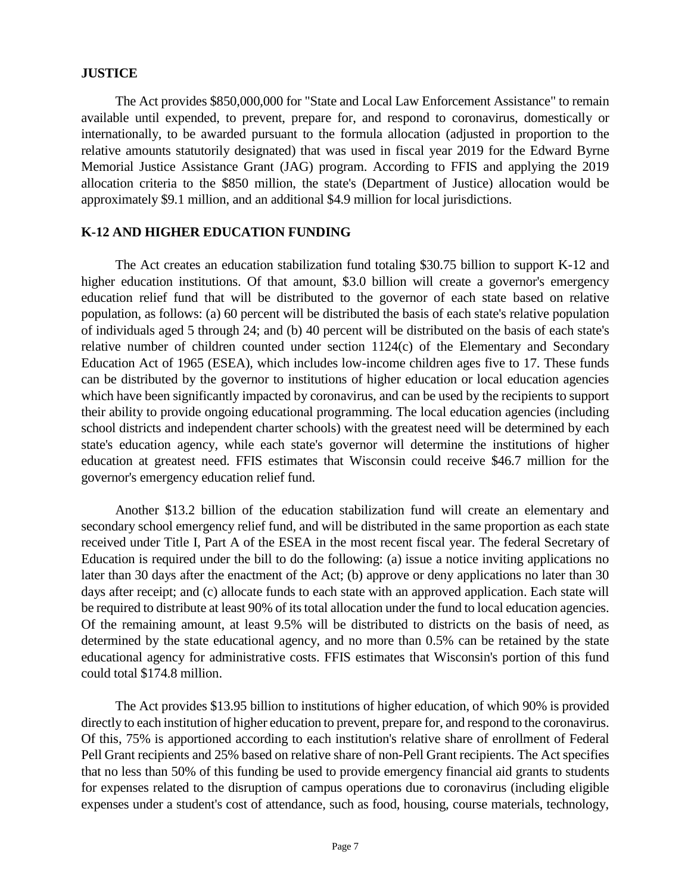#### **JUSTICE**

The Act provides \$850,000,000 for "State and Local Law Enforcement Assistance" to remain available until expended, to prevent, prepare for, and respond to coronavirus, domestically or internationally, to be awarded pursuant to the formula allocation (adjusted in proportion to the relative amounts statutorily designated) that was used in fiscal year 2019 for the Edward Byrne Memorial Justice Assistance Grant (JAG) program. According to FFIS and applying the 2019 allocation criteria to the \$850 million, the state's (Department of Justice) allocation would be approximately \$9.1 million, and an additional \$4.9 million for local jurisdictions.

#### **K-12 AND HIGHER EDUCATION FUNDING**

The Act creates an education stabilization fund totaling \$30.75 billion to support K-12 and higher education institutions. Of that amount, \$3.0 billion will create a governor's emergency education relief fund that will be distributed to the governor of each state based on relative population, as follows: (a) 60 percent will be distributed the basis of each state's relative population of individuals aged 5 through 24; and (b) 40 percent will be distributed on the basis of each state's relative number of children counted under section 1124(c) of the Elementary and Secondary Education Act of 1965 (ESEA), which includes low-income children ages five to 17. These funds can be distributed by the governor to institutions of higher education or local education agencies which have been significantly impacted by coronavirus, and can be used by the recipients to support their ability to provide ongoing educational programming. The local education agencies (including school districts and independent charter schools) with the greatest need will be determined by each state's education agency, while each state's governor will determine the institutions of higher education at greatest need. FFIS estimates that Wisconsin could receive \$46.7 million for the governor's emergency education relief fund.

Another \$13.2 billion of the education stabilization fund will create an elementary and secondary school emergency relief fund, and will be distributed in the same proportion as each state received under Title I, Part A of the ESEA in the most recent fiscal year. The federal Secretary of Education is required under the bill to do the following: (a) issue a notice inviting applications no later than 30 days after the enactment of the Act; (b) approve or deny applications no later than 30 days after receipt; and (c) allocate funds to each state with an approved application. Each state will be required to distribute at least 90% of its total allocation under the fund to local education agencies. Of the remaining amount, at least 9.5% will be distributed to districts on the basis of need, as determined by the state educational agency, and no more than 0.5% can be retained by the state educational agency for administrative costs. FFIS estimates that Wisconsin's portion of this fund could total \$174.8 million.

The Act provides \$13.95 billion to institutions of higher education, of which 90% is provided directly to each institution of higher education to prevent, prepare for, and respond to the coronavirus. Of this, 75% is apportioned according to each institution's relative share of enrollment of Federal Pell Grant recipients and 25% based on relative share of non-Pell Grant recipients. The Act specifies that no less than 50% of this funding be used to provide emergency financial aid grants to students for expenses related to the disruption of campus operations due to coronavirus (including eligible expenses under a student's cost of attendance, such as food, housing, course materials, technology,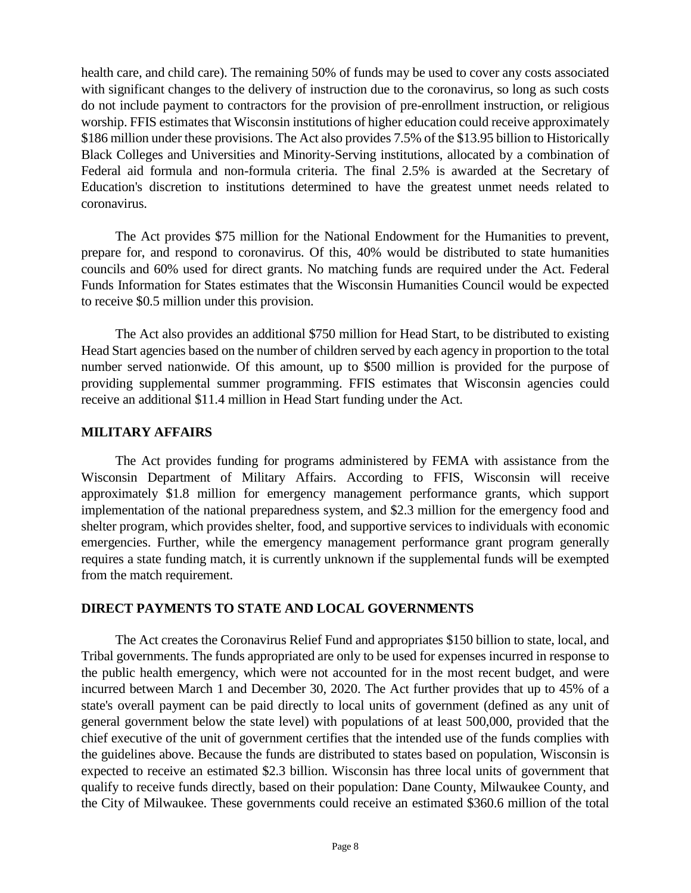health care, and child care). The remaining 50% of funds may be used to cover any costs associated with significant changes to the delivery of instruction due to the coronavirus, so long as such costs do not include payment to contractors for the provision of pre-enrollment instruction, or religious worship. FFIS estimates that Wisconsin institutions of higher education could receive approximately \$186 million under these provisions. The Act also provides 7.5% of the \$13.95 billion to Historically Black Colleges and Universities and Minority-Serving institutions, allocated by a combination of Federal aid formula and non-formula criteria. The final 2.5% is awarded at the Secretary of Education's discretion to institutions determined to have the greatest unmet needs related to coronavirus.

The Act provides \$75 million for the National Endowment for the Humanities to prevent, prepare for, and respond to coronavirus. Of this, 40% would be distributed to state humanities councils and 60% used for direct grants. No matching funds are required under the Act. Federal Funds Information for States estimates that the Wisconsin Humanities Council would be expected to receive \$0.5 million under this provision.

The Act also provides an additional \$750 million for Head Start, to be distributed to existing Head Start agencies based on the number of children served by each agency in proportion to the total number served nationwide. Of this amount, up to \$500 million is provided for the purpose of providing supplemental summer programming. FFIS estimates that Wisconsin agencies could receive an additional \$11.4 million in Head Start funding under the Act.

#### **MILITARY AFFAIRS**

The Act provides funding for programs administered by FEMA with assistance from the Wisconsin Department of Military Affairs. According to FFIS, Wisconsin will receive approximately \$1.8 million for emergency management performance grants, which support implementation of the national preparedness system, and \$2.3 million for the emergency food and shelter program, which provides shelter, food, and supportive services to individuals with economic emergencies. Further, while the emergency management performance grant program generally requires a state funding match, it is currently unknown if the supplemental funds will be exempted from the match requirement.

## **DIRECT PAYMENTS TO STATE AND LOCAL GOVERNMENTS**

The Act creates the Coronavirus Relief Fund and appropriates \$150 billion to state, local, and Tribal governments. The funds appropriated are only to be used for expenses incurred in response to the public health emergency, which were not accounted for in the most recent budget, and were incurred between March 1 and December 30, 2020. The Act further provides that up to 45% of a state's overall payment can be paid directly to local units of government (defined as any unit of general government below the state level) with populations of at least 500,000, provided that the chief executive of the unit of government certifies that the intended use of the funds complies with the guidelines above. Because the funds are distributed to states based on population, Wisconsin is expected to receive an estimated \$2.3 billion. Wisconsin has three local units of government that qualify to receive funds directly, based on their population: Dane County, Milwaukee County, and the City of Milwaukee. These governments could receive an estimated \$360.6 million of the total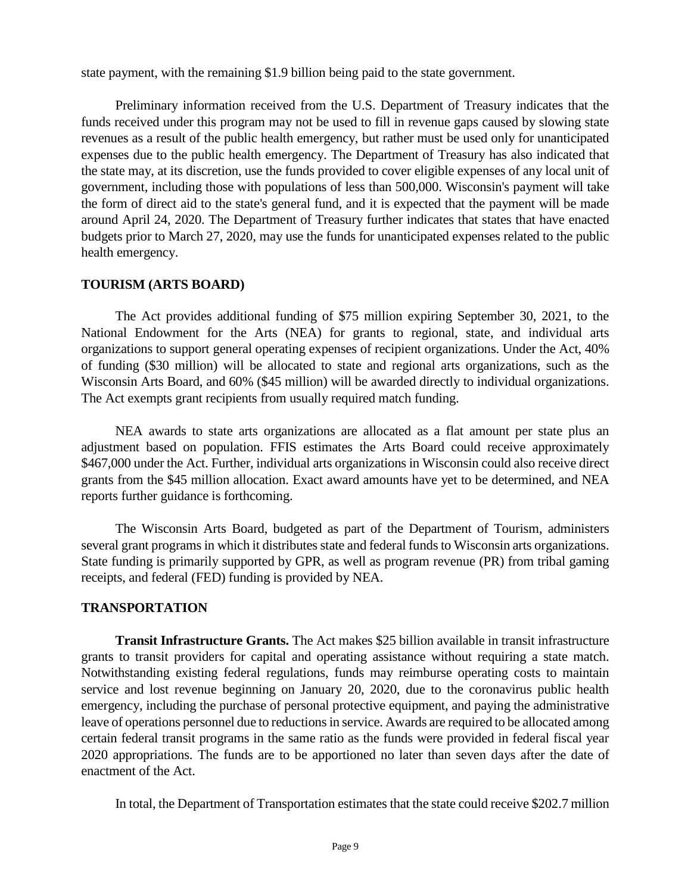state payment, with the remaining \$1.9 billion being paid to the state government.

Preliminary information received from the U.S. Department of Treasury indicates that the funds received under this program may not be used to fill in revenue gaps caused by slowing state revenues as a result of the public health emergency, but rather must be used only for unanticipated expenses due to the public health emergency. The Department of Treasury has also indicated that the state may, at its discretion, use the funds provided to cover eligible expenses of any local unit of government, including those with populations of less than 500,000. Wisconsin's payment will take the form of direct aid to the state's general fund, and it is expected that the payment will be made around April 24, 2020. The Department of Treasury further indicates that states that have enacted budgets prior to March 27, 2020, may use the funds for unanticipated expenses related to the public health emergency.

#### **TOURISM (ARTS BOARD)**

The Act provides additional funding of \$75 million expiring September 30, 2021, to the National Endowment for the Arts (NEA) for grants to regional, state, and individual arts organizations to support general operating expenses of recipient organizations. Under the Act, 40% of funding (\$30 million) will be allocated to state and regional arts organizations, such as the Wisconsin Arts Board, and 60% (\$45 million) will be awarded directly to individual organizations. The Act exempts grant recipients from usually required match funding.

NEA awards to state arts organizations are allocated as a flat amount per state plus an adjustment based on population. FFIS estimates the Arts Board could receive approximately \$467,000 under the Act. Further, individual arts organizations in Wisconsin could also receive direct grants from the \$45 million allocation. Exact award amounts have yet to be determined, and NEA reports further guidance is forthcoming.

The Wisconsin Arts Board, budgeted as part of the Department of Tourism, administers several grant programs in which it distributes state and federal funds to Wisconsin arts organizations. State funding is primarily supported by GPR, as well as program revenue (PR) from tribal gaming receipts, and federal (FED) funding is provided by NEA.

## **TRANSPORTATION**

**Transit Infrastructure Grants.** The Act makes \$25 billion available in transit infrastructure grants to transit providers for capital and operating assistance without requiring a state match. Notwithstanding existing federal regulations, funds may reimburse operating costs to maintain service and lost revenue beginning on January 20, 2020, due to the coronavirus public health emergency, including the purchase of personal protective equipment, and paying the administrative leave of operations personnel due to reductions in service. Awards are required to be allocated among certain federal transit programs in the same ratio as the funds were provided in federal fiscal year 2020 appropriations. The funds are to be apportioned no later than seven days after the date of enactment of the Act.

In total, the Department of Transportation estimates that the state could receive \$202.7 million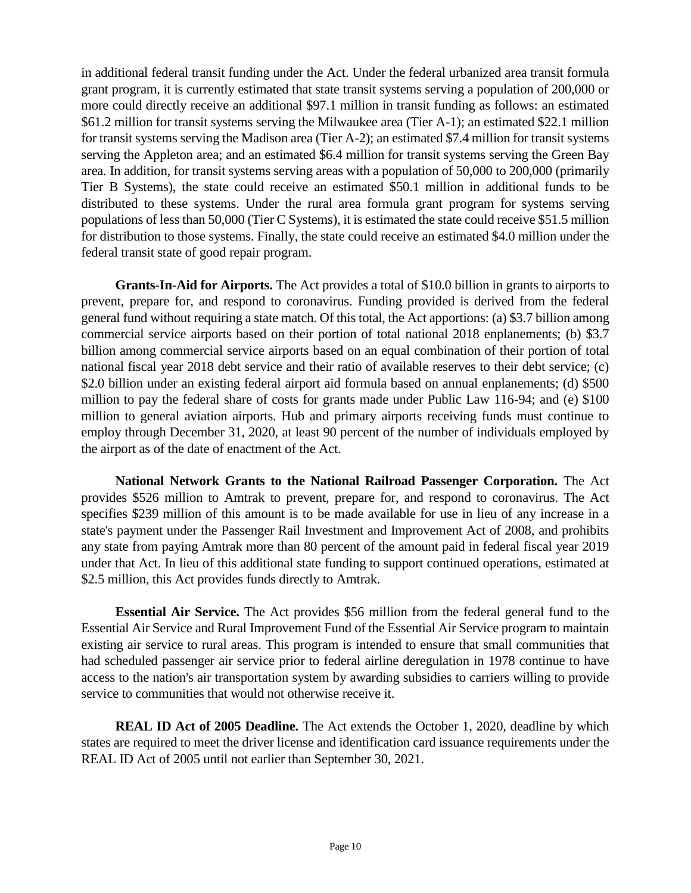in additional federal transit funding under the Act. Under the federal urbanized area transit formula grant program, it is currently estimated that state transit systems serving a population of 200,000 or more could directly receive an additional \$97.1 million in transit funding as follows: an estimated \$61.2 million for transit systems serving the Milwaukee area (Tier A-1); an estimated \$22.1 million for transit systems serving the Madison area (Tier A-2); an estimated \$7.4 million for transit systems serving the Appleton area; and an estimated \$6.4 million for transit systems serving the Green Bay area. In addition, for transit systems serving areas with a population of 50,000 to 200,000 (primarily Tier B Systems), the state could receive an estimated \$50.1 million in additional funds to be distributed to these systems. Under the rural area formula grant program for systems serving populations of less than 50,000 (Tier C Systems), it is estimated the state could receive \$51.5 million for distribution to those systems. Finally, the state could receive an estimated \$4.0 million under the federal transit state of good repair program.

**Grants-In-Aid for Airports.** The Act provides a total of \$10.0 billion in grants to airports to prevent, prepare for, and respond to coronavirus. Funding provided is derived from the federal general fund without requiring a state match. Of this total, the Act apportions: (a) \$3.7 billion among commercial service airports based on their portion of total national 2018 enplanements; (b) \$3.7 billion among commercial service airports based on an equal combination of their portion of total national fiscal year 2018 debt service and their ratio of available reserves to their debt service; (c) \$2.0 billion under an existing federal airport aid formula based on annual enplanements; (d) \$500 million to pay the federal share of costs for grants made under Public Law 116-94; and (e) \$100 million to general aviation airports. Hub and primary airports receiving funds must continue to employ through December 31, 2020, at least 90 percent of the number of individuals employed by the airport as of the date of enactment of the Act.

**National Network Grants to the National Railroad Passenger Corporation.** The Act provides \$526 million to Amtrak to prevent, prepare for, and respond to coronavirus. The Act specifies \$239 million of this amount is to be made available for use in lieu of any increase in a state's payment under the Passenger Rail Investment and Improvement Act of 2008, and prohibits any state from paying Amtrak more than 80 percent of the amount paid in federal fiscal year 2019 under that Act. In lieu of this additional state funding to support continued operations, estimated at \$2.5 million, this Act provides funds directly to Amtrak.

**Essential Air Service.** The Act provides \$56 million from the federal general fund to the Essential Air Service and Rural Improvement Fund of the Essential Air Service program to maintain existing air service to rural areas. This program is intended to ensure that small communities that had scheduled passenger air service prior to federal airline deregulation in 1978 continue to have access to the nation's air transportation system by awarding subsidies to carriers willing to provide service to communities that would not otherwise receive it.

**REAL ID Act of 2005 Deadline.** The Act extends the October 1, 2020, deadline by which states are required to meet the driver license and identification card issuance requirements under the REAL ID Act of 2005 until not earlier than September 30, 2021.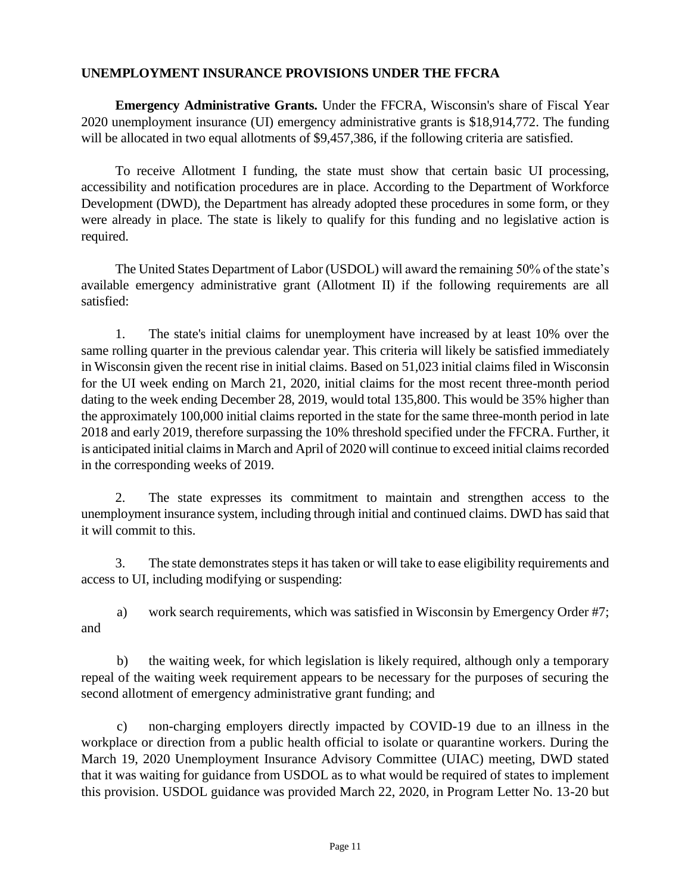#### **UNEMPLOYMENT INSURANCE PROVISIONS UNDER THE FFCRA**

**Emergency Administrative Grants.** Under the FFCRA, Wisconsin's share of Fiscal Year 2020 unemployment insurance (UI) emergency administrative grants is \$18,914,772. The funding will be allocated in two equal allotments of \$9,457,386, if the following criteria are satisfied.

To receive Allotment I funding, the state must show that certain basic UI processing, accessibility and notification procedures are in place. According to the Department of Workforce Development (DWD), the Department has already adopted these procedures in some form, or they were already in place. The state is likely to qualify for this funding and no legislative action is required.

The United States Department of Labor (USDOL) will award the remaining 50% of the state's available emergency administrative grant (Allotment II) if the following requirements are all satisfied:

1. The state's initial claims for unemployment have increased by at least 10% over the same rolling quarter in the previous calendar year. This criteria will likely be satisfied immediately in Wisconsin given the recent rise in initial claims. Based on 51,023 initial claims filed in Wisconsin for the UI week ending on March 21, 2020, initial claims for the most recent three-month period dating to the week ending December 28, 2019, would total 135,800. This would be 35% higher than the approximately 100,000 initial claims reported in the state for the same three-month period in late 2018 and early 2019, therefore surpassing the 10% threshold specified under the FFCRA. Further, it is anticipated initial claims in March and April of 2020 will continue to exceed initial claims recorded in the corresponding weeks of 2019.

2. The state expresses its commitment to maintain and strengthen access to the unemployment insurance system, including through initial and continued claims. DWD has said that it will commit to this.

3. The state demonstrates steps it has taken or will take to ease eligibility requirements and access to UI, including modifying or suspending:

a) work search requirements, which was satisfied in Wisconsin by Emergency Order #7; and

b) the waiting week, for which legislation is likely required, although only a temporary repeal of the waiting week requirement appears to be necessary for the purposes of securing the second allotment of emergency administrative grant funding; and

c) non-charging employers directly impacted by COVID-19 due to an illness in the workplace or direction from a public health official to isolate or quarantine workers. During the March 19, 2020 Unemployment Insurance Advisory Committee (UIAC) meeting, DWD stated that it was waiting for guidance from USDOL as to what would be required of states to implement this provision. USDOL guidance was provided March 22, 2020, in Program Letter No. 13-20 but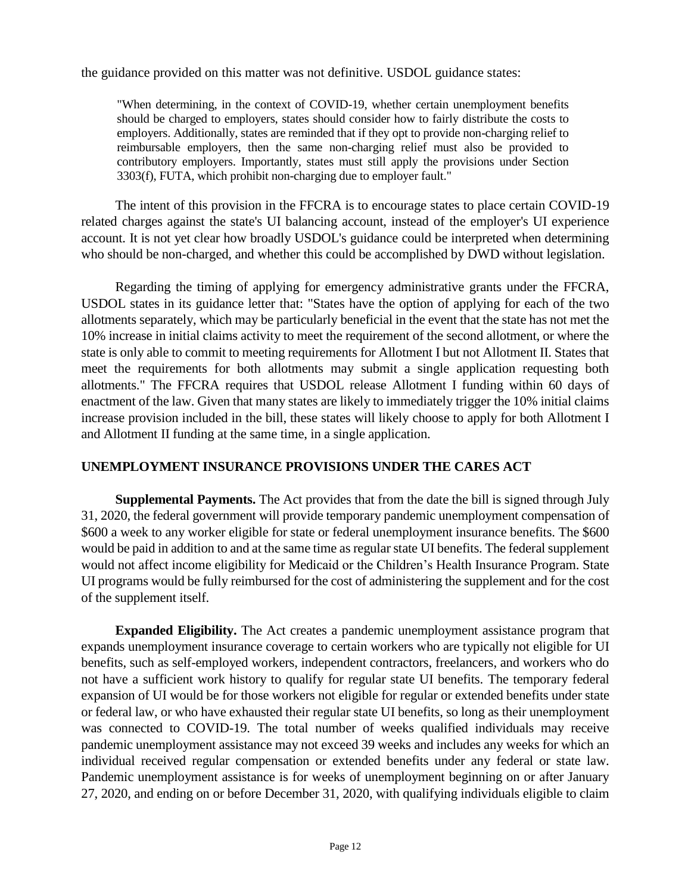the guidance provided on this matter was not definitive. USDOL guidance states:

"When determining, in the context of COVID-19, whether certain unemployment benefits should be charged to employers, states should consider how to fairly distribute the costs to employers. Additionally, states are reminded that if they opt to provide non-charging relief to reimbursable employers, then the same non-charging relief must also be provided to contributory employers. Importantly, states must still apply the provisions under Section 3303(f), FUTA, which prohibit non-charging due to employer fault."

The intent of this provision in the FFCRA is to encourage states to place certain COVID-19 related charges against the state's UI balancing account, instead of the employer's UI experience account. It is not yet clear how broadly USDOL's guidance could be interpreted when determining who should be non-charged, and whether this could be accomplished by DWD without legislation.

Regarding the timing of applying for emergency administrative grants under the FFCRA, USDOL states in its guidance letter that: "States have the option of applying for each of the two allotments separately, which may be particularly beneficial in the event that the state has not met the 10% increase in initial claims activity to meet the requirement of the second allotment, or where the state is only able to commit to meeting requirements for Allotment I but not Allotment II. States that meet the requirements for both allotments may submit a single application requesting both allotments." The FFCRA requires that USDOL release Allotment I funding within 60 days of enactment of the law. Given that many states are likely to immediately trigger the 10% initial claims increase provision included in the bill, these states will likely choose to apply for both Allotment I and Allotment II funding at the same time, in a single application.

## **UNEMPLOYMENT INSURANCE PROVISIONS UNDER THE CARES ACT**

**Supplemental Payments.** The Act provides that from the date the bill is signed through July 31, 2020, the federal government will provide temporary pandemic unemployment compensation of \$600 a week to any worker eligible for state or federal unemployment insurance benefits. The \$600 would be paid in addition to and at the same time as regular state UI benefits. The federal supplement would not affect income eligibility for Medicaid or the Children's Health Insurance Program. State UI programs would be fully reimbursed for the cost of administering the supplement and for the cost of the supplement itself.

**Expanded Eligibility.** The Act creates a pandemic unemployment assistance program that expands unemployment insurance coverage to certain workers who are typically not eligible for UI benefits, such as self-employed workers, independent contractors, freelancers, and workers who do not have a sufficient work history to qualify for regular state UI benefits. The temporary federal expansion of UI would be for those workers not eligible for regular or extended benefits under state or federal law, or who have exhausted their regular state UI benefits, so long as their unemployment was connected to COVID-19. The total number of weeks qualified individuals may receive pandemic unemployment assistance may not exceed 39 weeks and includes any weeks for which an individual received regular compensation or extended benefits under any federal or state law. Pandemic unemployment assistance is for weeks of unemployment beginning on or after January 27, 2020, and ending on or before December 31, 2020, with qualifying individuals eligible to claim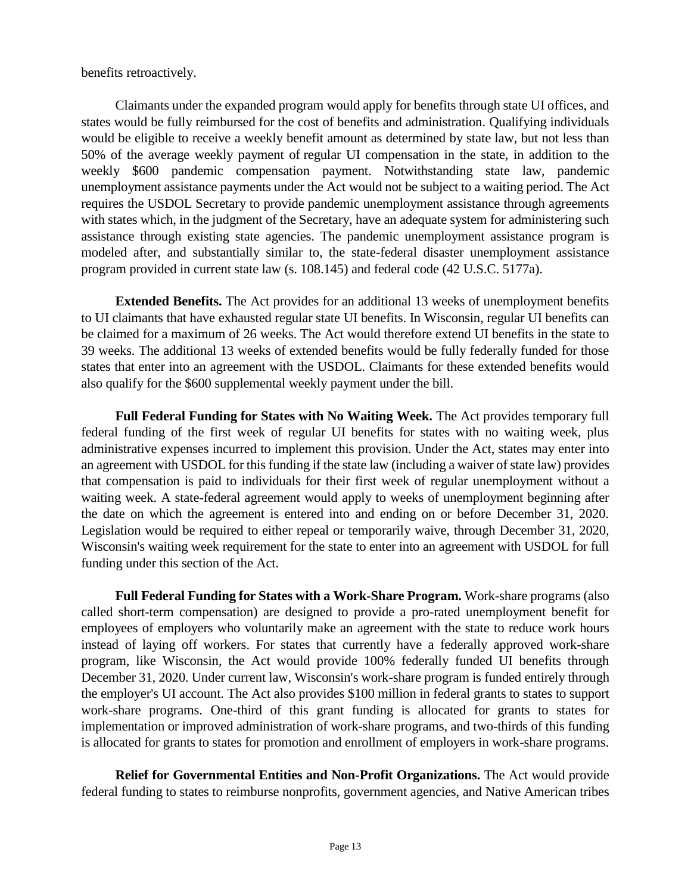benefits retroactively.

Claimants under the expanded program would apply for benefits through state UI offices, and states would be fully reimbursed for the cost of benefits and administration. Qualifying individuals would be eligible to receive a weekly benefit amount as determined by state law, but not less than 50% of the average weekly payment of regular UI compensation in the state, in addition to the weekly \$600 pandemic compensation payment. Notwithstanding state law, pandemic unemployment assistance payments under the Act would not be subject to a waiting period. The Act requires the USDOL Secretary to provide pandemic unemployment assistance through agreements with states which, in the judgment of the Secretary, have an adequate system for administering such assistance through existing state agencies. The pandemic unemployment assistance program is modeled after, and substantially similar to, the state-federal disaster unemployment assistance program provided in current state law (s. 108.145) and federal code (42 U.S.C. 5177a).

**Extended Benefits.** The Act provides for an additional 13 weeks of unemployment benefits to UI claimants that have exhausted regular state UI benefits. In Wisconsin, regular UI benefits can be claimed for a maximum of 26 weeks. The Act would therefore extend UI benefits in the state to 39 weeks. The additional 13 weeks of extended benefits would be fully federally funded for those states that enter into an agreement with the USDOL. Claimants for these extended benefits would also qualify for the \$600 supplemental weekly payment under the bill.

**Full Federal Funding for States with No Waiting Week.** The Act provides temporary full federal funding of the first week of regular UI benefits for states with no waiting week, plus administrative expenses incurred to implement this provision. Under the Act, states may enter into an agreement with USDOL for this funding if the state law (including a waiver of state law) provides that compensation is paid to individuals for their first week of regular unemployment without a waiting week. A state-federal agreement would apply to weeks of unemployment beginning after the date on which the agreement is entered into and ending on or before December 31, 2020. Legislation would be required to either repeal or temporarily waive, through December 31, 2020, Wisconsin's waiting week requirement for the state to enter into an agreement with USDOL for full funding under this section of the Act.

**Full Federal Funding for States with a Work-Share Program.** Work-share programs (also called short-term compensation) are designed to provide a pro-rated unemployment benefit for employees of employers who voluntarily make an agreement with the state to reduce work hours instead of laying off workers. For states that currently have a federally approved work-share program, like Wisconsin, the Act would provide 100% federally funded UI benefits through December 31, 2020. Under current law, Wisconsin's work-share program is funded entirely through the employer's UI account. The Act also provides \$100 million in federal grants to states to support work-share programs. One-third of this grant funding is allocated for grants to states for implementation or improved administration of work-share programs, and two-thirds of this funding is allocated for grants to states for promotion and enrollment of employers in work-share programs.

**Relief for Governmental Entities and Non-Profit Organizations.** The Act would provide federal funding to states to reimburse nonprofits, government agencies, and Native American tribes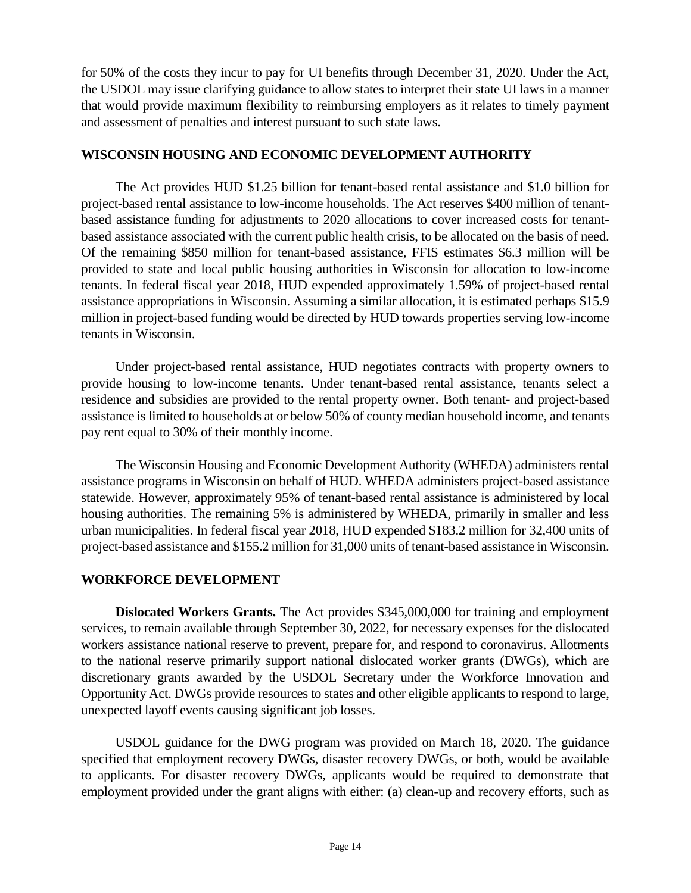for 50% of the costs they incur to pay for UI benefits through December 31, 2020. Under the Act, the USDOL may issue clarifying guidance to allow states to interpret their state UI laws in a manner that would provide maximum flexibility to reimbursing employers as it relates to timely payment and assessment of penalties and interest pursuant to such state laws.

#### **WISCONSIN HOUSING AND ECONOMIC DEVELOPMENT AUTHORITY**

The Act provides HUD \$1.25 billion for tenant-based rental assistance and \$1.0 billion for project-based rental assistance to low-income households. The Act reserves \$400 million of tenantbased assistance funding for adjustments to 2020 allocations to cover increased costs for tenantbased assistance associated with the current public health crisis, to be allocated on the basis of need. Of the remaining \$850 million for tenant-based assistance, FFIS estimates \$6.3 million will be provided to state and local public housing authorities in Wisconsin for allocation to low-income tenants. In federal fiscal year 2018, HUD expended approximately 1.59% of project-based rental assistance appropriations in Wisconsin. Assuming a similar allocation, it is estimated perhaps \$15.9 million in project-based funding would be directed by HUD towards properties serving low-income tenants in Wisconsin.

Under project-based rental assistance, HUD negotiates contracts with property owners to provide housing to low-income tenants. Under tenant-based rental assistance, tenants select a residence and subsidies are provided to the rental property owner. Both tenant- and project-based assistance is limited to households at or below 50% of county median household income, and tenants pay rent equal to 30% of their monthly income.

The Wisconsin Housing and Economic Development Authority (WHEDA) administers rental assistance programs in Wisconsin on behalf of HUD. WHEDA administers project-based assistance statewide. However, approximately 95% of tenant-based rental assistance is administered by local housing authorities. The remaining 5% is administered by WHEDA, primarily in smaller and less urban municipalities. In federal fiscal year 2018, HUD expended \$183.2 million for 32,400 units of project-based assistance and \$155.2 million for 31,000 units of tenant-based assistance in Wisconsin.

## **WORKFORCE DEVELOPMENT**

**Dislocated Workers Grants.** The Act provides \$345,000,000 for training and employment services, to remain available through September 30, 2022, for necessary expenses for the dislocated workers assistance national reserve to prevent, prepare for, and respond to coronavirus. Allotments to the national reserve primarily support national dislocated worker grants (DWGs), which are discretionary grants awarded by the USDOL Secretary under the Workforce Innovation and Opportunity Act. DWGs provide resources to states and other eligible applicants to respond to large, unexpected layoff events causing significant job losses.

USDOL guidance for the DWG program was provided on March 18, 2020. The guidance specified that employment recovery DWGs, disaster recovery DWGs, or both, would be available to applicants. For disaster recovery DWGs, applicants would be required to demonstrate that employment provided under the grant aligns with either: (a) clean-up and recovery efforts, such as